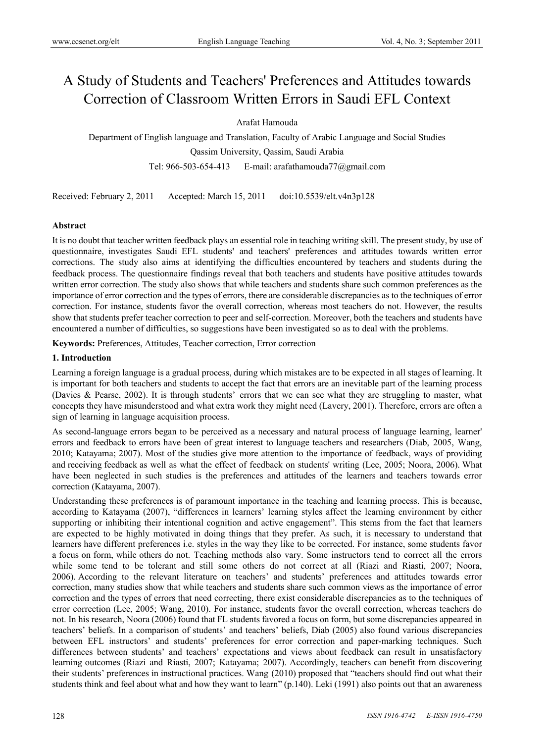# A Study of Students and Teachers' Preferences and Attitudes towards Correction of Classroom Written Errors in Saudi EFL Context

# Arafat Hamouda

Department of English language and Translation, Faculty of Arabic Language and Social Studies Qassim University, Qassim, Saudi Arabia Tel: 966-503-654-413 E-mail: arafathamouda77@gmail.com

Received: February 2, 2011 Accepted: March 15, 2011 doi:10.5539/elt.v4n3p128

# **Abstract**

It is no doubt that teacher written feedback plays an essential role in teaching writing skill. The present study, by use of questionnaire, investigates Saudi EFL students' and teachers' preferences and attitudes towards written error corrections. The study also aims at identifying the difficulties encountered by teachers and students during the feedback process. The questionnaire findings reveal that both teachers and students have positive attitudes towards written error correction. The study also shows that while teachers and students share such common preferences as the importance of error correction and the types of errors, there are considerable discrepancies as to the techniques of error correction. For instance, students favor the overall correction, whereas most teachers do not. However, the results show that students prefer teacher correction to peer and self-correction. Moreover, both the teachers and students have encountered a number of difficulties, so suggestions have been investigated so as to deal with the problems.

 **Keywords:** Preferences, Attitudes, Teacher correction, Error correction

# **1. Introduction**

Learning a foreign language is a gradual process, during which mistakes are to be expected in all stages of learning. It is important for both teachers and students to accept the fact that errors are an inevitable part of the learning process (Davies & Pearse, 2002). It is through students' errors that we can see what they are struggling to master, what concepts they have misunderstood and what extra work they might need (Lavery, 2001). Therefore, errors are often a sign of learning in language acquisition process.

As second-language errors began to be perceived as a necessary and natural process of language learning, learner' errors and feedback to errors have been of great interest to language teachers and researchers (Diab, 2005, Wang, 2010; Katayama; 2007). Most of the studies give more attention to the importance of feedback, ways of providing and receiving feedback as well as what the effect of feedback on students' writing (Lee, 2005; Noora, 2006). What have been neglected in such studies is the preferences and attitudes of the learners and teachers towards error correction (Katayama, 2007).

Understanding these preferences is of paramount importance in the teaching and learning process. This is because, according to Katayama (2007), "differences in learners' learning styles affect the learning environment by either supporting or inhibiting their intentional cognition and active engagement". This stems from the fact that learners are expected to be highly motivated in doing things that they prefer. As such, it is necessary to understand that learners have different preferences i.e. styles in the way they like to be corrected. For instance, some students favor a focus on form, while others do not. Teaching methods also vary. Some instructors tend to correct all the errors while some tend to be tolerant and still some others do not correct at all (Riazi and Riasti, 2007; Noora, 2006). According to the relevant literature on teachers' and students' preferences and attitudes towards error correction, many studies show that while teachers and students share such common views as the importance of error correction and the types of errors that need correcting, there exist considerable discrepancies as to the techniques of error correction (Lee, 2005; Wang, 2010). For instance, students favor the overall correction, whereas teachers do not. In his research, Noora (2006) found that FL students favored a focus on form, but some discrepancies appeared in teachers' beliefs. In a comparison of students' and teachers' beliefs, Diab (2005) also found various discrepancies between EFL instructors' and students' preferences for error correction and paper-marking techniques. Such differences between students' and teachers' expectations and views about feedback can result in unsatisfactory learning outcomes (Riazi and Riasti, 2007; Katayama; 2007). Accordingly, teachers can benefit from discovering their students' preferences in instructional practices. Wang (2010) proposed that "teachers should find out what their students think and feel about what and how they want to learn" (p.140). Leki (1991) also points out that an awareness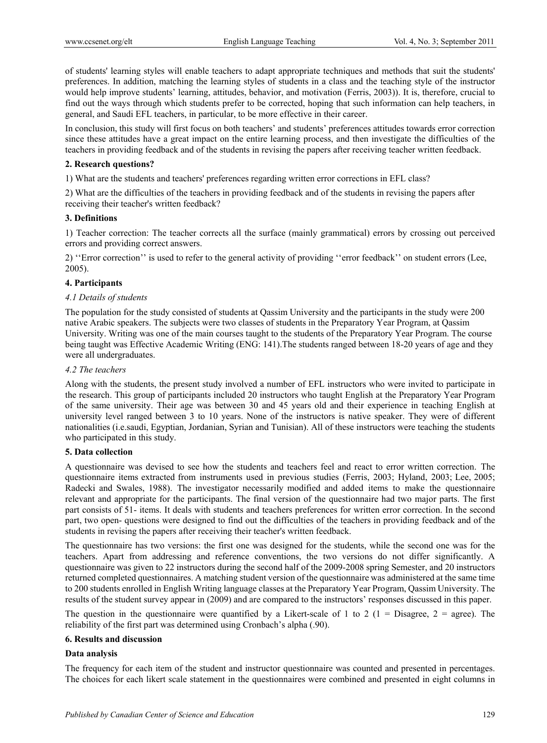of students' learning styles will enable teachers to adapt appropriate techniques and methods that suit the students' preferences. In addition, matching the learning styles of students in a class and the teaching style of the instructor would help improve students' learning, attitudes, behavior, and motivation (Ferris, 2003)). It is, therefore, crucial to find out the ways through which students prefer to be corrected, hoping that such information can help teachers, in general, and Saudi EFL teachers, in particular, to be more effective in their career.

In conclusion, this study will first focus on both teachers' and students' preferences attitudes towards error correction since these attitudes have a great impact on the entire learning process, and then investigate the difficulties of the teachers in providing feedback and of the students in revising the papers after receiving teacher written feedback.

#### **2. Research questions?**

1) What are the students and teachers' preferences regarding written error corrections in EFL class?

2) What are the difficulties of the teachers in providing feedback and of the students in revising the papers after receiving their teacher's written feedback?

# **3. Definitions**

1) Teacher correction: The teacher corrects all the surface (mainly grammatical) errors by crossing out perceived errors and providing correct answers.

2) ''Error correction'' is used to refer to the general activity of providing ''error feedback'' on student errors (Lee, 2005).

# **4. Participants**

# *4.1 Details of students*

The population for the study consisted of students at Qassim University and the participants in the study were 200 native Arabic speakers. The subjects were two classes of students in the Preparatory Year Program, at Qassim University. Writing was one of the main courses taught to the students of the Preparatory Year Program. The course being taught was Effective Academic Writing (ENG: 141).The students ranged between 18-20 years of age and they were all undergraduates.

# *4.2 The teachers*

Along with the students, the present study involved a number of EFL instructors who were invited to participate in the research. This group of participants included 20 instructors who taught English at the Preparatory Year Program of the same university. Their age was between 30 and 45 years old and their experience in teaching English at university level ranged between 3 to 10 years. None of the instructors is native speaker. They were of different nationalities (i.e.saudi, Egyptian, Jordanian, Syrian and Tunisian). All of these instructors were teaching the students who participated in this study.

#### **5. Data collection**

A questionnaire was devised to see how the students and teachers feel and react to error written correction. The questionnaire items extracted from instruments used in previous studies (Ferris, 2003; Hyland, 2003; Lee, 2005; Radecki and Swales, 1988). The investigator necessarily modified and added items to make the questionnaire relevant and appropriate for the participants. The final version of the questionnaire had two major parts. The first part consists of 51- items. It deals with students and teachers preferences for written error correction. In the second part, two open- questions were designed to find out the difficulties of the teachers in providing feedback and of the students in revising the papers after receiving their teacher's written feedback.

The questionnaire has two versions: the first one was designed for the students, while the second one was for the teachers. Apart from addressing and reference conventions, the two versions do not differ significantly. A questionnaire was given to 22 instructors during the second half of the 2009-2008 spring Semester, and 20 instructors returned completed questionnaires. A matching student version of the questionnaire was administered at the same time to 200 students enrolled in English Writing language classes at the Preparatory Year Program, Qassim University. The results of the student survey appear in (2009) and are compared to the instructors' responses discussed in this paper.

The question in the questionnaire were quantified by a Likert-scale of 1 to 2 ( $1 =$  Disagree,  $2 =$  agree). The reliability of the first part was determined using Cronbach's alpha (.90).

# **6. Results and discussion**

# **Data analysis**

The frequency for each item of the student and instructor questionnaire was counted and presented in percentages. The choices for each likert scale statement in the questionnaires were combined and presented in eight columns in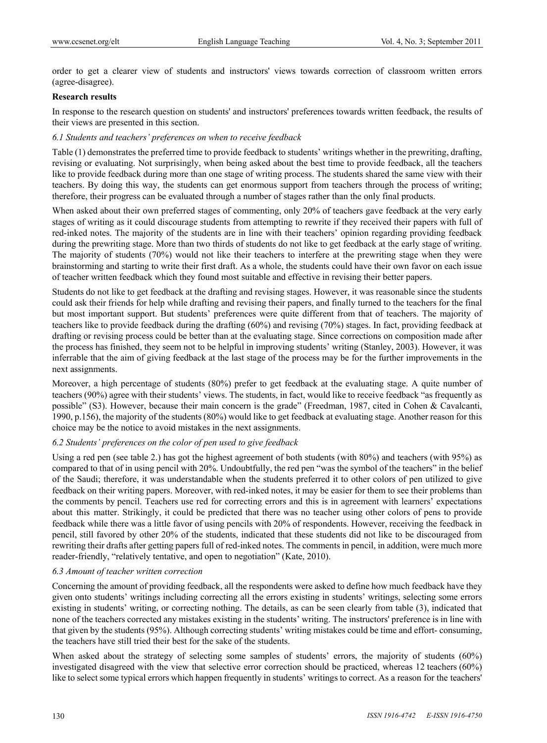order to get a clearer view of students and instructors' views towards correction of classroom written errors (agree-disagree).

#### **Research results**

In response to the research question on students' and instructors' preferences towards written feedback, the results of their views are presented in this section.

# *6.1 Students and teachers' preferences on when to receive feedback*

Table (1) demonstrates the preferred time to provide feedback to students' writings whether in the prewriting, drafting, revising or evaluating. Not surprisingly, when being asked about the best time to provide feedback, all the teachers like to provide feedback during more than one stage of writing process. The students shared the same view with their teachers. By doing this way, the students can get enormous support from teachers through the process of writing; therefore, their progress can be evaluated through a number of stages rather than the only final products.

When asked about their own preferred stages of commenting, only 20% of teachers gave feedback at the very early stages of writing as it could discourage students from attempting to rewrite if they received their papers with full of red-inked notes. The majority of the students are in line with their teachers' opinion regarding providing feedback during the prewriting stage. More than two thirds of students do not like to get feedback at the early stage of writing. The majority of students (70%) would not like their teachers to interfere at the prewriting stage when they were brainstorming and starting to write their first draft. As a whole, the students could have their own favor on each issue of teacher written feedback which they found most suitable and effective in revising their better papers.

Students do not like to get feedback at the drafting and revising stages. However, it was reasonable since the students could ask their friends for help while drafting and revising their papers, and finally turned to the teachers for the final but most important support. But students' preferences were quite different from that of teachers. The majority of teachers like to provide feedback during the drafting (60%) and revising (70%) stages. In fact, providing feedback at drafting or revising process could be better than at the evaluating stage. Since corrections on composition made after the process has finished, they seem not to be helpful in improving students' writing (Stanley, 2003). However, it was inferrable that the aim of giving feedback at the last stage of the process may be for the further improvements in the next assignments.

Moreover, a high percentage of students (80%) prefer to get feedback at the evaluating stage. A quite number of teachers (90%) agree with their students' views. The students, in fact, would like to receive feedback "as frequently as possible" (S3). However, because their main concern is the grade" (Freedman, 1987, cited in Cohen & Cavalcanti, 1990, p.156), the majority of the students (80%) would like to get feedback at evaluating stage. Another reason for this choice may be the notice to avoid mistakes in the next assignments.

# *6.2 Students' preferences on the color of pen used to give feedback*

Using a red pen (see table 2.) has got the highest agreement of both students (with 80%) and teachers (with 95%) as compared to that of in using pencil with 20%. Undoubtfully, the red pen "was the symbol of the teachers" in the belief of the Saudi; therefore, it was understandable when the students preferred it to other colors of pen utilized to give feedback on their writing papers. Moreover, with red-inked notes, it may be easier for them to see their problems than the comments by pencil. Teachers use red for correcting errors and this is in agreement with learners' expectations about this matter. Strikingly, it could be predicted that there was no teacher using other colors of pens to provide feedback while there was a little favor of using pencils with 20% of respondents. However, receiving the feedback in pencil, still favored by other 20% of the students, indicated that these students did not like to be discouraged from rewriting their drafts after getting papers full of red-inked notes. The comments in pencil, in addition, were much more reader-friendly, "relatively tentative, and open to negotiation" (Kate, 2010).

# *6.3 Amount of teacher written correction*

Concerning the amount of providing feedback, all the respondents were asked to define how much feedback have they given onto students' writings including correcting all the errors existing in students' writings, selecting some errors existing in students' writing, or correcting nothing. The details, as can be seen clearly from table (3), indicated that none of the teachers corrected any mistakes existing in the students' writing. The instructors' preference is in line with that given by the students (95%). Although correcting students' writing mistakes could be time and effort- consuming, the teachers have still tried their best for the sake of the students.

When asked about the strategy of selecting some samples of students' errors, the majority of students (60%) investigated disagreed with the view that selective error correction should be practiced, whereas 12 teachers (60%) like to select some typical errors which happen frequently in students' writings to correct. As a reason for the teachers'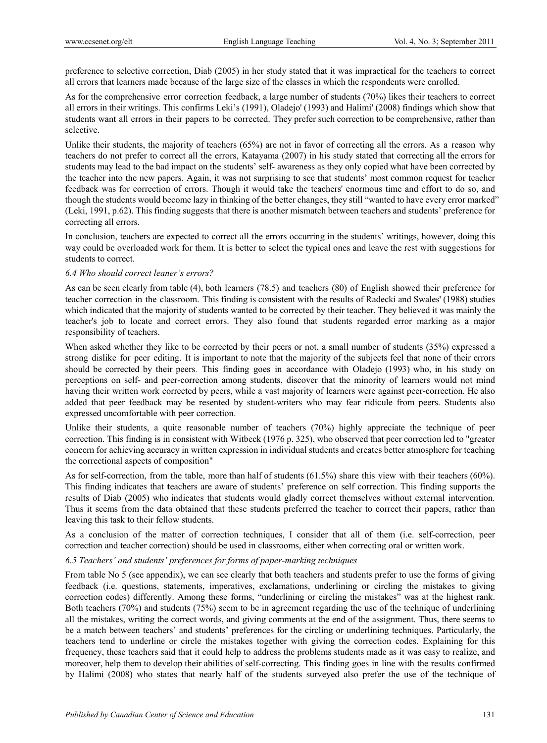preference to selective correction, Diab (2005) in her study stated that it was impractical for the teachers to correct all errors that learners made because of the large size of the classes in which the respondents were enrolled.

As for the comprehensive error correction feedback, a large number of students (70%) likes their teachers to correct all errors in their writings. This confirms Leki's (1991), Oladejo' (1993) and Halimi' (2008) findings which show that students want all errors in their papers to be corrected. They prefer such correction to be comprehensive, rather than selective.

Unlike their students, the majority of teachers (65%) are not in favor of correcting all the errors. As a reason why teachers do not prefer to correct all the errors, Katayama (2007) in his study stated that correcting all the errors for students may lead to the bad impact on the students' self- awareness as they only copied what have been corrected by the teacher into the new papers. Again, it was not surprising to see that students' most common request for teacher feedback was for correction of errors. Though it would take the teachers' enormous time and effort to do so, and though the students would become lazy in thinking of the better changes, they still "wanted to have every error marked" (Leki, 1991, p.62). This finding suggests that there is another mismatch between teachers and students' preference for correcting all errors.

In conclusion, teachers are expected to correct all the errors occurring in the students' writings, however, doing this way could be overloaded work for them. It is better to select the typical ones and leave the rest with suggestions for students to correct.

# *6.4 Who should correct leaner's errors?*

As can be seen clearly from table (4), both learners (78.5) and teachers (80) of English showed their preference for teacher correction in the classroom. This finding is consistent with the results of Radecki and Swales' (1988) studies which indicated that the majority of students wanted to be corrected by their teacher. They believed it was mainly the teacher's job to locate and correct errors. They also found that students regarded error marking as a major responsibility of teachers.

When asked whether they like to be corrected by their peers or not, a small number of students (35%) expressed a strong dislike for peer editing. It is important to note that the majority of the subjects feel that none of their errors should be corrected by their peers. This finding goes in accordance with Oladejo (1993) who, in his study on perceptions on self- and peer-correction among students, discover that the minority of learners would not mind having their written work corrected by peers, while a vast majority of learners were against peer-correction. He also added that peer feedback may be resented by student-writers who may fear ridicule from peers. Students also expressed uncomfortable with peer correction.

Unlike their students, a quite reasonable number of teachers (70%) highly appreciate the technique of peer correction. This finding is in consistent with Witbeck (1976 p. 325), who observed that peer correction led to "greater concern for achieving accuracy in written expression in individual students and creates better atmosphere for teaching the correctional aspects of composition"

As for self-correction, from the table, more than half of students (61.5%) share this view with their teachers (60%). This finding indicates that **t**eachers are aware of students' preference on self correction. This finding supports the results of Diab (2005) who indicates that students would gladly correct themselves without external intervention. Thus it seems from the data obtained that these students preferred the teacher to correct their papers, rather than leaving this task to their fellow students.

As a conclusion of the matter of correction techniques, I consider that all of them (i.e. self-correction, peer correction and teacher correction) should be used in classrooms, either when correcting oral or written work.

# *6.5 Teachers' and students' preferences for forms of paper-marking techniques*

From table No 5 (see appendix), we can see clearly that both teachers and students prefer to use the forms of giving feedback (i.e. questions, statements, imperatives, exclamations, underlining or circling the mistakes to giving correction codes) differently. Among these forms, "underlining or circling the mistakes" was at the highest rank. Both teachers (70%) and students (75%) seem to be in agreement regarding the use of the technique of underlining all the mistakes, writing the correct words, and giving comments at the end of the assignment. Thus, there seems to be a match between teachers' and students' preferences for the circling or underlining techniques. Particularly, the teachers tend to underline or circle the mistakes together with giving the correction codes. Explaining for this frequency, these teachers said that it could help to address the problems students made as it was easy to realize, and moreover, help them to develop their abilities of self-correcting. This finding goes in line with the results confirmed by Halimi (2008) who states that nearly half of the students surveyed also prefer the use of the technique of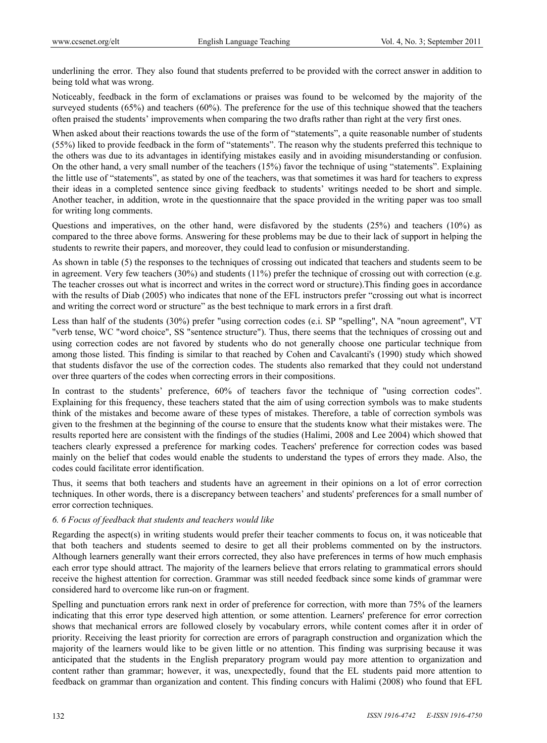underlining the error. They also found that students preferred to be provided with the correct answer in addition to being told what was wrong.

Noticeably, feedback in the form of exclamations or praises was found to be welcomed by the majority of the surveyed students (65%) and teachers (60%). The preference for the use of this technique showed that the teachers often praised the students' improvements when comparing the two drafts rather than right at the very first ones.

When asked about their reactions towards the use of the form of "statements", a quite reasonable number of students (55%) liked to provide feedback in the form of "statements". The reason why the students preferred this technique to the others was due to its advantages in identifying mistakes easily and in avoiding misunderstanding or confusion. On the other hand, a very small number of the teachers (15%) favor the technique of using "statements". Explaining the little use of "statements", as stated by one of the teachers, was that sometimes it was hard for teachers to express their ideas in a completed sentence since giving feedback to students' writings needed to be short and simple. Another teacher, in addition, wrote in the questionnaire that the space provided in the writing paper was too small for writing long comments.

Questions and imperatives, on the other hand, were disfavored by the students (25%) and teachers (10%) as compared to the three above forms. Answering for these problems may be due to their lack of support in helping the students to rewrite their papers, and moreover, they could lead to confusion or misunderstanding.

As shown in table (5) the responses to the techniques of crossing out indicated that teachers and students seem to be in agreement. Very few teachers  $(30\%)$  and students  $(11\%)$  prefer the technique of crossing out with correction (e.g. The teacher crosses out what is incorrect and writes in the correct word or structure).This finding goes in accordance with the results of Diab (2005) who indicates that none of the EFL instructors prefer "crossing out what is incorrect and writing the correct word or structure" as the best technique to mark errors in a first draft.

Less than half of the students (30%) prefer "using correction codes (e.i. SP "spelling", NA "noun agreement", VT "verb tense, WC "word choice", SS "sentence structure"). Thus, there seems that the techniques of crossing out and using correction codes are not favored by students who do not generally choose one particular technique from among those listed. This finding is similar to that reached by Cohen and Cavalcanti's (1990) study which showed that students disfavor the use of the correction codes. The students also remarked that they could not understand over three quarters of the codes when correcting errors in their compositions.

In contrast to the students' preference, 60% of teachers favor the technique of "using correction codes". Explaining for this frequency, these teachers stated that the aim of using correction symbols was to make students think of the mistakes and become aware of these types of mistakes. Therefore, a table of correction symbols was given to the freshmen at the beginning of the course to ensure that the students know what their mistakes were. The results reported here are consistent with the findings of the studies (Halimi, 2008 and Lee 2004) which showed that teachers clearly expressed a preference for marking codes. Teachers' preference for correction codes was based mainly on the belief that codes would enable the students to understand the types of errors they made. Also, the codes could facilitate error identification.

Thus, it seems that both teachers and students have an agreement in their opinions on a lot of error correction techniques. In other words, there is a discrepancy between teachers' and students' preferences for a small number of error correction techniques.

# *6. 6 Focus of feedback that students and teachers would like*

Regarding the aspect(s) in writing students would prefer their teacher comments to focus on, it was noticeable that that both teachers and students seemed to desire to get all their problems commented on by the instructors. Although learners generally want their errors corrected, they also have preferences in terms of how much emphasis each error type should attract. The majority of the learners believe that errors relating to grammatical errors should receive the highest attention for correction. Grammar was still needed feedback since some kinds of grammar were considered hard to overcome like run-on or fragment.

Spelling and punctuation errors rank next in order of preference for correction, with more than 75% of the learners indicating that this error type deserved high attention*,* or some attention. Learners' preference for error correction shows that mechanical errors are followed closely by vocabulary errors, while content comes after it in order of priority. Receiving the least priority for correction are errors of paragraph construction and organization which the majority of the learners would like to be given little or no attention. This finding was surprising because it was anticipated that the students in the English preparatory program would pay more attention to organization and content rather than grammar; however, it was, unexpectedly, found that the EL students paid more attention to feedback on grammar than organization and content. This finding concurs with Halimi (2008) who found that EFL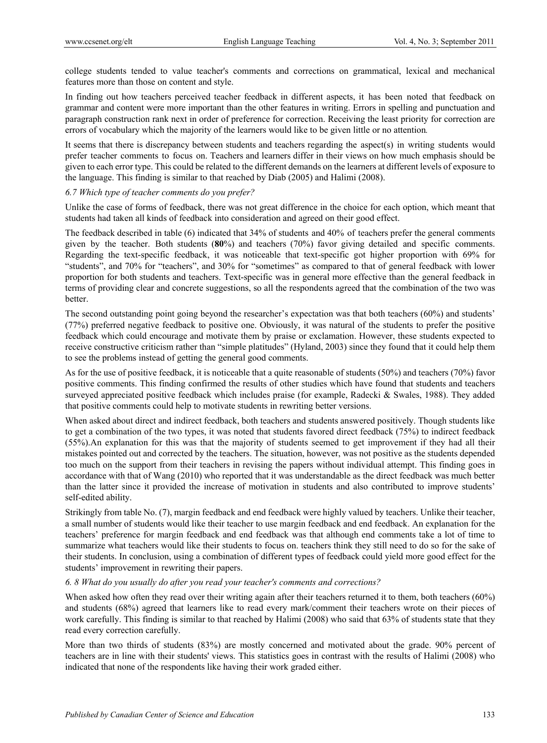college students tended to value teacher's comments and corrections on grammatical, lexical and mechanical features more than those on content and style.

In finding out how teachers perceived teacher feedback in different aspects, it has been noted that feedback on grammar and content were more important than the other features in writing. Errors in spelling and punctuation and paragraph construction rank next in order of preference for correction. Receiving the least priority for correction are errors of vocabulary which the majority of the learners would like to be given little or no attention*.*

It seems that there is discrepancy between students and teachers regarding the aspect(s) in writing students would prefer teacher comments to focus on. Teachers and learners differ in their views on how much emphasis should be given to each error type. This could be related to the different demands on the learners at different levels of exposure to the language. This finding is similar to that reached by Diab (2005) and Halimi (2008).

# *6.7 Which type of teacher comments do you prefer?*

Unlike the case of forms of feedback, there was not great difference in the choice for each option, which meant that students had taken all kinds of feedback into consideration and agreed on their good effect.

The feedback described in table (6) indicated that 34% of students and 40% of teachers prefer the general comments given by the teacher. Both students (**80**%) and teachers (70%) favor giving detailed and specific comments. Regarding the text-specific feedback, it was noticeable that text-specific got higher proportion with 69% for "students", and 70% for "teachers", and 30% for "sometimes" as compared to that of general feedback with lower proportion for both students and teachers. Text-specific was in general more effective than the general feedback in terms of providing clear and concrete suggestions, so all the respondents agreed that the combination of the two was better.

The second outstanding point going beyond the researcher's expectation was that both teachers (60%) and students' (77%) preferred negative feedback to positive one. Obviously, it was natural of the students to prefer the positive feedback which could encourage and motivate them by praise or exclamation. However, these students expected to receive constructive criticism rather than "simple platitudes" (Hyland, 2003) since they found that it could help them to see the problems instead of getting the general good comments.

As for the use of positive feedback, it is noticeable that a quite reasonable of students (50%) and teachers (70%) favor positive comments. This finding confirmed the results of other studies which have found that students and teachers surveyed appreciated positive feedback which includes praise (for example, Radecki & Swales, 1988). They added that positive comments could help to motivate students in rewriting better versions.

When asked about direct and indirect feedback, both teachers and students answered positively. Though students like to get a combination of the two types, it was noted that students favored direct feedback (75%) to indirect feedback (55%).An explanation for this was that the majority of students seemed to get improvement if they had all their mistakes pointed out and corrected by the teachers. The situation, however, was not positive as the students depended too much on the support from their teachers in revising the papers without individual attempt. This finding goes in accordance with that of Wang (2010) who reported that it was understandable as the direct feedback was much better than the latter since it provided the increase of motivation in students and also contributed to improve students' self-edited ability.

Strikingly from table No. (7), margin feedback and end feedback were highly valued by teachers. Unlike their teacher, a small number of students would like their teacher to use margin feedback and end feedback. An explanation for the teachers' preference for margin feedback and end feedback was that although end comments take a lot of time to summarize what teachers would like their students to focus on. teachers think they still need to do so for the sake of their students. In conclusion, using a combination of different types of feedback could yield more good effect for the students' improvement in rewriting their papers.

# *6. 8 What do you usually do after you read your teacher's comments and corrections?*

When asked how often they read over their writing again after their teachers returned it to them, both teachers (60%) and students (68%) agreed that learners like to read every mark/comment their teachers wrote on their pieces of work carefully. This finding is similar to that reached by Halimi (2008) who said that 63% of students state that they read every correction carefully.

More than two thirds of students (83%) are mostly concerned and motivated about the grade. 90% percent of teachers are in line with their students' views. This statistics goes in contrast with the results of Halimi (2008) who indicated that none of the respondents like having their work graded either.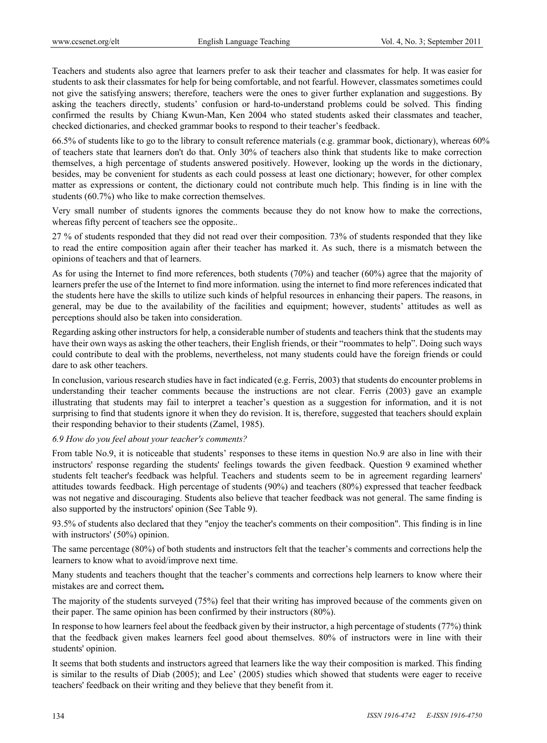Teachers and students also agree that learners prefer to ask their teacher and classmates for help. It was easier for students to ask their classmates for help for being comfortable, and not fearful. However, classmates sometimes could not give the satisfying answers; therefore, teachers were the ones to giver further explanation and suggestions. By asking the teachers directly, students' confusion or hard-to-understand problems could be solved. This finding confirmed the results by Chiang Kwun-Man, Ken 2004 who stated students asked their classmates and teacher, checked dictionaries, and checked grammar books to respond to their teacher's feedback.

66.5% of students like to go to the library to consult reference materials (e.g. grammar book, dictionary), whereas 60% of teachers state that learners don't do that. Only 30% of teachers also think that students like to make correction themselves, a high percentage of students answered positively. However, looking up the words in the dictionary, besides, may be convenient for students as each could possess at least one dictionary; however, for other complex matter as expressions or content, the dictionary could not contribute much help. This finding is in line with the students (60.7%) who like to make correction themselves.

Very small number of students ignores the comments because they do not know how to make the corrections, whereas fifty percent of teachers see the opposite..

27 % of students responded that they did not read over their composition. 73% of students responded that they like to read the entire composition again after their teacher has marked it. As such, there is a mismatch between the opinions of teachers and that of learners.

As for using the Internet to find more references, both students (70%) and teacher (60%) agree that the majority of learners prefer the use of the Internet to find more information. using the internet to find more references indicated that the students here have the skills to utilize such kinds of helpful resources in enhancing their papers. The reasons, in general, may be due to the availability of the facilities and equipment; however, students' attitudes as well as perceptions should also be taken into consideration.

Regarding asking other instructors for help, a considerable number of students and teachers think that the students may have their own ways as asking the other teachers, their English friends, or their "roommates to help". Doing such ways could contribute to deal with the problems, nevertheless, not many students could have the foreign friends or could dare to ask other teachers.

In conclusion, various research studies have in fact indicated (e.g. Ferris, 2003) that students do encounter problems in understanding their teacher comments because the instructions are not clear. Ferris (2003) gave an example illustrating that students may fail to interpret a teacher's question as a suggestion for information, and it is not surprising to find that students ignore it when they do revision. It is, therefore, suggested that teachers should explain their responding behavior to their students (Zamel, 1985).

# *6.9 How do you feel about your teacher's comments?*

From table No.9, it is noticeable that students' responses to these items in question No.9 are also in line with their instructors' response regarding the students' feelings towards the given feedback. Question 9 examined whether students felt teacher's feedback was helpful. Teachers and students seem to be in agreement regarding learners' attitudes towards feedback. High percentage of students (90%) and teachers (80%) expressed that teacher feedback was not negative and discouraging. Students also believe that teacher feedback was not general. The same finding is also supported by the instructors' opinion (See Table 9).

93.5% of students also declared that they "enjoy the teacher's comments on their composition". This finding is in line with instructors' (50%) opinion.

The same percentage (80%) of both students and instructors felt that the teacher's comments and corrections help the learners to know what to avoid/improve next time.

Many students and teachers thought that the teacher's comments and corrections help learners to know where their mistakes are and correct them**.**

The majority of the students surveyed (75%) feel that their writing has improved because of the comments given on their paper. The same opinion has been confirmed by their instructors (80%).

In response to how learners feel about the feedback given by their instructor, a high percentage of students (77%) think that the feedback given makes learners feel good about themselves. 80% of instructors were in line with their students' opinion.

It seems that both students and instructors agreed that learners like the way their composition is marked. This finding is similar to the results of Diab (2005); and Lee' (2005) studies which showed that students were eager to receive teachers' feedback on their writing and they believe that they benefit from it.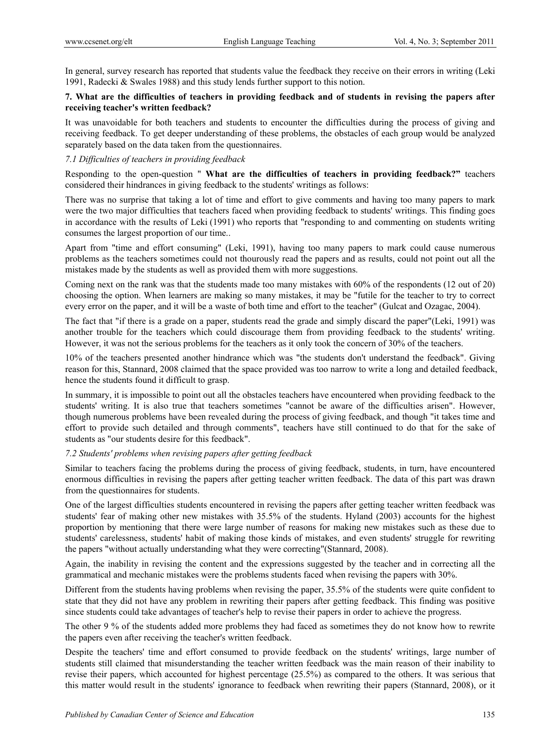In general, survey research has reported that students value the feedback they receive on their errors in writing (Leki 1991, Radecki & Swales 1988) and this study lends further support to this notion.

# **7. What are the difficulties of teachers in providing feedback and of students in revising the papers after receiving teacher's written feedback?**

It was unavoidable for both teachers and students to encounter the difficulties during the process of giving and receiving feedback. To get deeper understanding of these problems, the obstacles of each group would be analyzed separately based on the data taken from the questionnaires.

# *7.1 Difficulties of teachers in providing feedback*

Responding to the open-question " **What are the difficulties of teachers in providing feedback?"** teachers considered their hindrances in giving feedback to the students' writings as follows:

There was no surprise that taking a lot of time and effort to give comments and having too many papers to mark were the two major difficulties that teachers faced when providing feedback to students' writings. This finding goes in accordance with the results of Leki (1991) who reports that "responding to and commenting on students writing consumes the largest proportion of our time..

Apart from "time and effort consuming" (Leki, 1991), having too many papers to mark could cause numerous problems as the teachers sometimes could not thourously read the papers and as results, could not point out all the mistakes made by the students as well as provided them with more suggestions.

Coming next on the rank was that the students made too many mistakes with 60% of the respondents (12 out of 20) choosing the option. When learners are making so many mistakes, it may be "futile for the teacher to try to correct every error on the paper, and it will be a waste of both time and effort to the teacher" (Gulcat and Ozagac, 2004).

The fact that "if there is a grade on a paper, students read the grade and simply discard the paper"(Leki, 1991) was another trouble for the teachers which could discourage them from providing feedback to the students' writing. However, it was not the serious problems for the teachers as it only took the concern of 30% of the teachers.

10% of the teachers presented another hindrance which was "the students don't understand the feedback". Giving reason for this, Stannard, 2008 claimed that the space provided was too narrow to write a long and detailed feedback, hence the students found it difficult to grasp.

In summary, it is impossible to point out all the obstacles teachers have encountered when providing feedback to the students' writing. It is also true that teachers sometimes "cannot be aware of the difficulties arisen". However, though numerous problems have been revealed during the process of giving feedback, and though "it takes time and effort to provide such detailed and through comments", teachers have still continued to do that for the sake of students as "our students desire for this feedback".

# *7.2 Students' problems when revising papers after getting feedback*

Similar to teachers facing the problems during the process of giving feedback, students, in turn, have encountered enormous difficulties in revising the papers after getting teacher written feedback. The data of this part was drawn from the questionnaires for students.

One of the largest difficulties students encountered in revising the papers after getting teacher written feedback was students' fear of making other new mistakes with 35.5% of the students. Hyland (2003) accounts for the highest proportion by mentioning that there were large number of reasons for making new mistakes such as these due to students' carelessness, students' habit of making those kinds of mistakes, and even students' struggle for rewriting the papers "without actually understanding what they were correcting"(Stannard, 2008).

Again, the inability in revising the content and the expressions suggested by the teacher and in correcting all the grammatical and mechanic mistakes were the problems students faced when revising the papers with 30%.

Different from the students having problems when revising the paper, 35.5% of the students were quite confident to state that they did not have any problem in rewriting their papers after getting feedback. This finding was positive since students could take advantages of teacher's help to revise their papers in order to achieve the progress.

The other 9 % of the students added more problems they had faced as sometimes they do not know how to rewrite the papers even after receiving the teacher's written feedback.

Despite the teachers' time and effort consumed to provide feedback on the students' writings, large number of students still claimed that misunderstanding the teacher written feedback was the main reason of their inability to revise their papers, which accounted for highest percentage (25.5%) as compared to the others. It was serious that this matter would result in the students' ignorance to feedback when rewriting their papers (Stannard, 2008), or it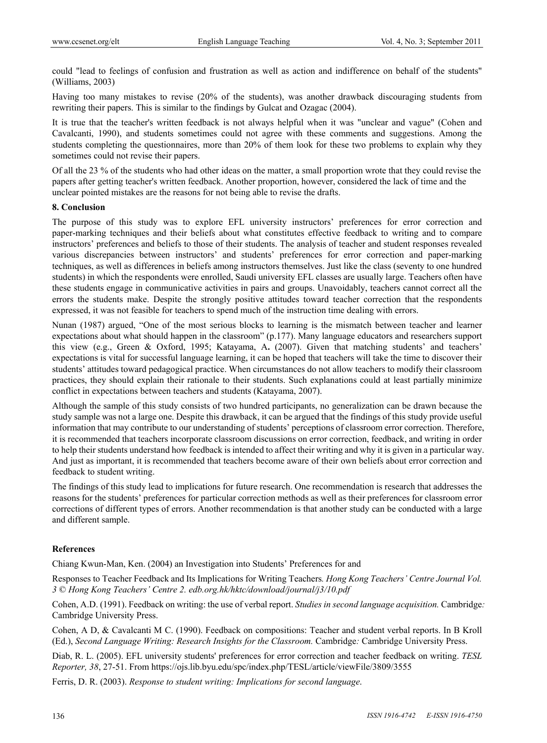could "lead to feelings of confusion and frustration as well as action and indifference on behalf of the students" (Williams, 2003)

Having too many mistakes to revise (20% of the students), was another drawback discouraging students from rewriting their papers. This is similar to the findings by Gulcat and Ozagac (2004).

It is true that the teacher's written feedback is not always helpful when it was "unclear and vague" (Cohen and Cavalcanti, 1990), and students sometimes could not agree with these comments and suggestions. Among the students completing the questionnaires, more than 20% of them look for these two problems to explain why they sometimes could not revise their papers.

Of all the 23 % of the students who had other ideas on the matter, a small proportion wrote that they could revise the papers after getting teacher's written feedback. Another proportion, however, considered the lack of time and the unclear pointed mistakes are the reasons for not being able to revise the drafts.

#### **8. Conclusion**

The purpose of this study was to explore EFL university instructors' preferences for error correction and paper-marking techniques and their beliefs about what constitutes effective feedback to writing and to compare instructors' preferences and beliefs to those of their students. The analysis of teacher and student responses revealed various discrepancies between instructors' and students' preferences for error correction and paper-marking techniques, as well as differences in beliefs among instructors themselves. Just like the class (seventy to one hundred students) in which the respondents were enrolled, Saudi university EFL classes are usually large. Teachers often have these students engage in communicative activities in pairs and groups. Unavoidably, teachers cannot correct all the errors the students make. Despite the strongly positive attitudes toward teacher correction that the respondents expressed, it was not feasible for teachers to spend much of the instruction time dealing with errors.

Nunan (1987) argued, "One of the most serious blocks to learning is the mismatch between teacher and learner expectations about what should happen in the classroom" (p.177). Many language educators and researchers support this view (e.g., Green & Oxford, 1995; Katayama, A**.** (2007). Given that matching students' and teachers' expectations is vital for successful language learning, it can be hoped that teachers will take the time to discover their students' attitudes toward pedagogical practice. When circumstances do not allow teachers to modify their classroom practices, they should explain their rationale to their students. Such explanations could at least partially minimize conflict in expectations between teachers and students (Katayama, 2007).

Although the sample of this study consists of two hundred participants, no generalization can be drawn because the study sample was not a large one. Despite this drawback, it can be argued that the findings of this study provide useful information that may contribute to our understanding of students' perceptions of classroom error correction. Therefore, it is recommended that teachers incorporate classroom discussions on error correction, feedback, and writing in order to help their students understand how feedback is intended to affect their writing and why it is given in a particular way. And just as important, it is recommended that teachers become aware of their own beliefs about error correction and feedback to student writing.

The findings of this study lead to implications for future research. One recommendation is research that addresses the reasons for the students' preferences for particular correction methods as well as their preferences for classroom error corrections of different types of errors. Another recommendation is that another study can be conducted with a large and different sample.

# **References**

Chiang Kwun-Man, Ken. (2004) an Investigation into Students' Preferences for and

Responses to Teacher Feedback and Its Implications for Writing Teachers*. Hong Kong Teachers' Centre Journal Vol. 3* © *Hong Kong Teachers' Centre 2. edb.org.hk/hktc/download/journal/j3/10.pdf* 

Cohen, A.D. (1991). Feedback on writing: the use of verbal report. *Studies in second language acquisition.* Cambridge*:*  Cambridge University Press.

Cohen, A D, & Cavalcanti M C. (1990). Feedback on compositions: Teacher and student verbal reports. In B Kroll (Ed.), *Second Language Writing: Research Insights for the Classroom.* Cambridge*:* Cambridge University Press.

Diab, R. L. (2005). EFL university students' preferences for error correction and teacher feedback on writing. *TESL Reporter, 38*, 27-51. From https://ojs.lib.byu.edu/spc/index.php/TESL/article/viewFile/3809/3555

Ferris, D. R. (2003). *Response to student writing: Implications for second language*.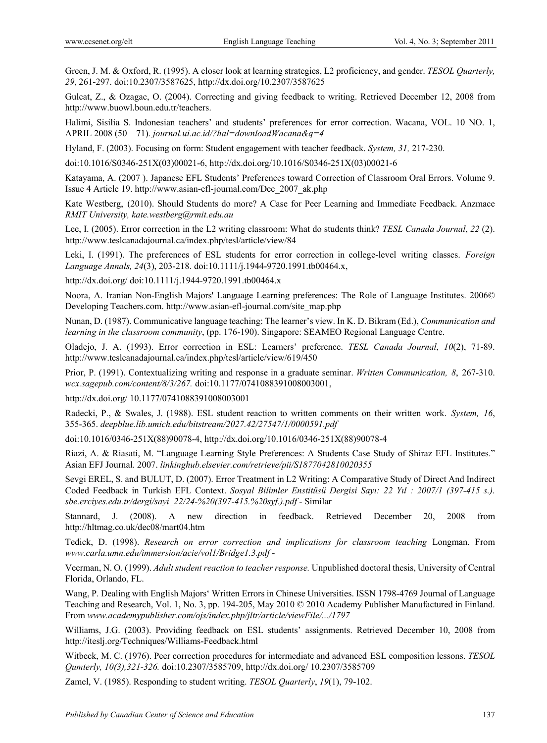Green, J. M. & Oxford, R. (1995). A closer look at learning strategies, L2 proficiency, and gender. *TESOL Quarterly, 29*, 261-297. doi:10.2307/3587625, http://dx.doi.org/10.2307/3587625

Gulcat, Z., & Ozagac, O. (2004). Correcting and giving feedback to writing. Retrieved December 12, 2008 from http://www.buowl.boun.edu.tr/teachers.

Halimi, Sisilia S. Indonesian teachers' and students' preferences for error correction. Wacana, VOL. 10 NO. 1, APRIL 2008 (50—71). *journal.ui.ac.id/?hal=downloadWacana&q=4*

Hyland, F. (2003). Focusing on form: Student engagement with teacher feedback. *System, 31,* 217-230.

doi:10.1016/S0346-251X(03)00021-6, http://dx.doi.org/10.1016/S0346-251X(03)00021-6

Katayama, A. (2007 ). Japanese EFL Students' Preferences toward Correction of Classroom Oral Errors. Volume 9. Issue 4 Article 19. http://www.asian-efl-journal.com/Dec\_2007\_ak.php

Kate Westberg, (2010). Should Students do more? A Case for Peer Learning and Immediate Feedback. Anzmace *RMIT University, kate.westberg@rmit.edu.au*

Lee, I. (2005). Error correction in the L2 writing classroom: What do students think? *TESL Canada Journal*, *22* (2). http://www.teslcanadajournal.ca/index.php/tesl/article/view/84

Leki, I. (1991). The preferences of ESL students for error correction in college-level writing classes. *Foreign Language Annals, 24*(3), 203-218. doi:10.1111/j.1944-9720.1991.tb00464.x,

http://dx.doi.org/ doi:10.1111/j.1944-9720.1991.tb00464.x

Noora, A. Iranian Non-English Majors' Language Learning preferences: The Role of Language Institutes. 2006© Developing Teachers.com. http://www.asian-efl-journal.com/site\_map.php

Nunan, D. (1987). Communicative language teaching: The learner's view. In K. D. Bikram (Ed.), *Communication and learning in the classroom community*, (pp. 176-190). Singapore: SEAMEO Regional Language Centre.

Oladejo, J. A. (1993). Error correction in ESL: Learners' preference. *TESL Canada Journal*, *10*(2), 71-89. http://www.teslcanadajournal.ca/index.php/tesl/article/view/619/450

Prior, P. (1991). Contextualizing writing and response in a graduate seminar. *Written Communication, 8*, 267-310. *wcx.sagepub.com/content/8/3/267.* doi:10.1177/0741088391008003001,

http://dx.doi.org/ 10.1177/0741088391008003001

Radecki, P., & Swales, J. (1988). ESL student reaction to written comments on their written work. *System, 16*, 355-365. *deepblue.lib.umich.edu/bitstream/2027.42/27547/1/0000591.pdf* 

doi:10.1016/0346-251X(88)90078-4, http://dx.doi.org/10.1016/0346-251X(88)90078-4

Riazi, A. & Riasati, M. "Language Learning Style Preferences: A Students Case Study of Shiraz EFL Institutes." Asian EFJ Journal. 2007. *linkinghub.elsevier.com/retrieve/pii/S1877042810020355*

Sevgi EREL, S. and BULUT, D. (2007). Error Treatment in L2 Writing: A Comparative Study of Direct And Indirect Coded Feedback in Turkish EFL Context. *Sosyal Bilimler Enstitüsü Dergisi Sayı: 22 Yıl : 2007/1 (397-415 s.)*. *sbe.erciyes.edu.tr/dergi/sayi\_22/24-%20(397-415.%20syf.).pdf* - Similar

Stannard, J. (2008). A new direction in feedback. Retrieved December 20, 2008 from http://hltmag.co.uk/dec08/mart04.htm

Tedick, D. (1998). *Research on error correction and implications for classroom teaching Longman*. From *www.carla.umn.edu/immersion/acie/vol1/Bridge1.3.pdf* -

Veerman, N. O. (1999). *Adult student reaction to teacher response.* Unpublished doctoral thesis, University of Central Florida, Orlando, FL.

Wang, P. Dealing with English Majors' Written Errors in Chinese Universities. ISSN 1798-4769 Journal of Language Teaching and Research, Vol. 1, No. 3, pp. 194-205, May 2010 © 2010 Academy Publisher Manufactured in Finland. From *www.academypublisher.com/ojs/index.php/jltr/article/viewFile/.../1797*

Williams, J.G. (2003). Providing feedback on ESL students' assignments. Retrieved December 10, 2008 from http://iteslj.org/Techniques/Williams-Feedback.html

Witbeck, M. C. (1976). Peer correction procedures for intermediate and advanced ESL composition lessons. *TESOL Qumterly, 10(3),321-326.* doi:10.2307/3585709, http://dx.doi.org/ 10.2307/3585709

Zamel, V. (1985). Responding to student writing. *TESOL Quarterly*, *19*(1), 79-102.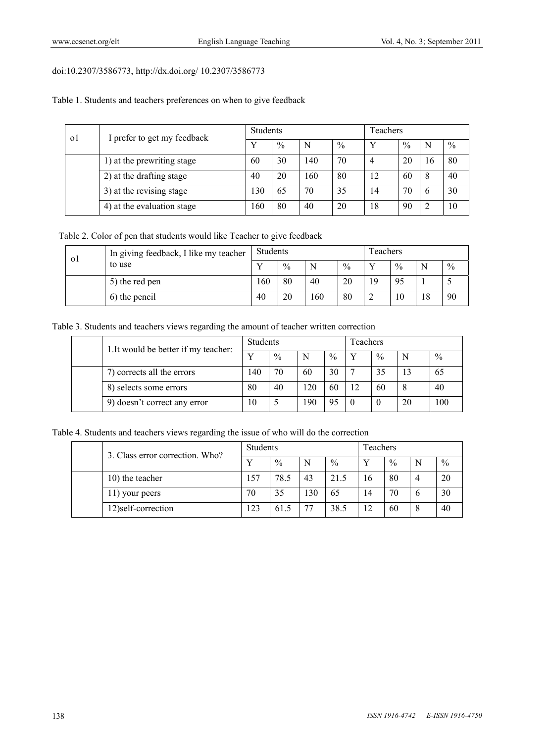# doi:10.2307/3586773, http://dx.doi.org/ 10.2307/3586773

Table 1. Students and teachers preferences on when to give feedback

| $\Omega$ | I prefer to get my feedback | <b>Students</b> |               |              | Teachers |    |               |    |      |
|----------|-----------------------------|-----------------|---------------|--------------|----------|----|---------------|----|------|
|          |                             |                 | $\frac{0}{0}$ | Ν            | $\%$     |    | $\frac{0}{0}$ | N  | $\%$ |
|          | 1) at the prewriting stage  | 60              | 30            | $ 40\rangle$ | 70       | 4  | 20            | 16 | 80   |
|          | 2) at the drafting stage    | 40              | 20            | 160          | 80       | 12 | 60            |    | 40   |
|          | 3) at the revising stage    | 130             | 65            | 70           | 35       | 14 | 70            |    | 30   |
|          | 4) at the evaluation stage  | 160             | 80            | 40           | 20       | 18 | 90            |    | 10   |

Table 2. Color of pen that students would like Teacher to give feedback

| 01 | In giving feedback, I like my teacher<br>to use | Students |               |     | Teachers      |    |      |    |      |
|----|-------------------------------------------------|----------|---------------|-----|---------------|----|------|----|------|
|    |                                                 |          | $\frac{0}{0}$ | N   | $\frac{0}{0}$ |    | $\%$ | N  | $\%$ |
|    | 5) the red pen                                  | 160      | 80            | 40  | 20            | 19 | -95  |    |      |
|    | 6) the pencil                                   | 40       | 20            | 160 | 80            |    | 10   | 18 | 90   |

Table 3. Students and teachers views regarding the amount of teacher written correction

|  | 1. It would be better if my teacher: | <b>Students</b> |               |     |      | Teachers |               |    |      |  |
|--|--------------------------------------|-----------------|---------------|-----|------|----------|---------------|----|------|--|
|  |                                      |                 | $\frac{0}{0}$ | N   | $\%$ |          | $\frac{0}{0}$ | N  | $\%$ |  |
|  | 7) corrects all the errors           | 140             | 70            | 60  | 30   |          |               | 13 | 65   |  |
|  | 8) selects some errors               | 80              | 40            | 20  | 60   | 12       | 60            | 8  | 40   |  |
|  | 9) doesn't correct any error         | 10              |               | 190 | 95   |          | $\cup$        | 20 | 100  |  |

Table 4. Students and teachers views regarding the issue of who will do the correction

|  | 3. Class error correction. Who? | <b>Students</b> |               |     | Teachers |    |               |              |               |
|--|---------------------------------|-----------------|---------------|-----|----------|----|---------------|--------------|---------------|
|  |                                 |                 | $\frac{0}{0}$ | N   | $\%$     |    | $\frac{0}{0}$ | N            | $\frac{0}{0}$ |
|  | 10) the teacher                 | 157             | 78.5          | 43  | 21.5     | 16 | 80            |              | 20            |
|  | 11) your peers                  | 70              | 35            | 130 | 65       | 14 | 70            | $\mathbf{p}$ | 30            |
|  | 12) self-correction             | 123             | 61.5          |     | 38.5     |    | 60            | 8            | 40            |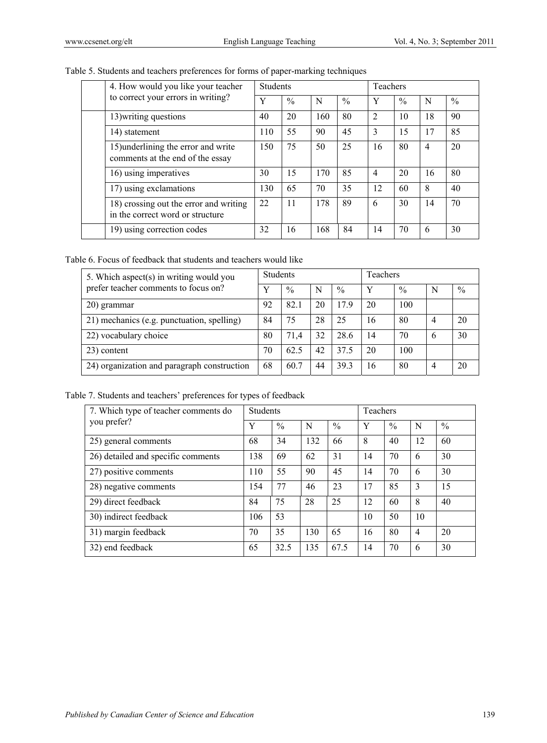|  | 4. How would you like your teacher                                         | <b>Students</b> |               |     |               | Teachers       |      |                |               |  |
|--|----------------------------------------------------------------------------|-----------------|---------------|-----|---------------|----------------|------|----------------|---------------|--|
|  | to correct your errors in writing?                                         | Y               | $\frac{0}{0}$ | N   | $\frac{0}{0}$ | Y              | $\%$ | N              | $\frac{0}{0}$ |  |
|  | 13) writing questions                                                      | 40              | 20            | 160 | 80            | $\overline{2}$ | 10   | 18             | 90            |  |
|  | 14) statement                                                              | 110             | 55            | 90  | 45            | 3              | 15   | 17             | 85            |  |
|  | 15) underlining the error and write<br>comments at the end of the essay    | 150             | 75            | 50  | 25            | 16             | 80   | $\overline{4}$ | 20            |  |
|  | 16) using imperatives                                                      | 30              | 15            | 170 | 85            | $\overline{4}$ | 20   | 16             | 80            |  |
|  | 17) using exclamations                                                     | 130             | 65            | 70  | 35            | 12             | 60   | 8              | 40            |  |
|  | 18) crossing out the error and writing<br>in the correct word or structure | 22              | 11            | 178 | 89            | 6              | 30   | 14             | 70            |  |
|  | 19) using correction codes                                                 | 32              | 16            | 168 | 84            | 14             | 70   | 6              | 30            |  |

# Table 5. Students and teachers preferences for forms of paper-marking techniques

Table 6. Focus of feedback that students and teachers would like

| 5. Which aspect(s) in writing would you     |    | <b>Students</b> |    |      | <b>Teachers</b> |               |   |      |  |
|---------------------------------------------|----|-----------------|----|------|-----------------|---------------|---|------|--|
| prefer teacher comments to focus on?        |    | $\frac{0}{0}$   | N  | $\%$ | Y               | $\frac{0}{0}$ | N | $\%$ |  |
| 20) grammar                                 | 92 | 82.1            | 20 | 17.9 | 20              | 100           |   |      |  |
| 21) mechanics (e.g. punctuation, spelling)  | 84 | 75              | 28 | 25   | 16              | 80            | 4 | 20   |  |
| 22) vocabulary choice                       | 80 | 71.4            | 32 | 28.6 | 14              | 70            | 6 | 30   |  |
| 23) content                                 | 70 | 62.5            | 42 | 37.5 | 20              | 100           |   |      |  |
| 24) organization and paragraph construction | 68 | 60.7            | 44 | 39.3 | 16              | 80            | 4 | 20   |  |

Table 7. Students and teachers' preferences for types of feedback

| 7. Which type of teacher comments do | <b>Students</b> |               |     |               | <b>Teachers</b> |               |                |               |
|--------------------------------------|-----------------|---------------|-----|---------------|-----------------|---------------|----------------|---------------|
| you prefer?                          | Y               | $\frac{0}{0}$ | N   | $\frac{0}{0}$ | Y               | $\frac{0}{0}$ | N              | $\frac{0}{0}$ |
| 25) general comments                 | 68              | 34            | 132 | 66            | 8               | 40            | 12             | 60            |
| 26) detailed and specific comments   | 138             | 69            | 62  | 31            | 14              | 70            | 6              | 30            |
| 27) positive comments                | 110             | 55            | 90  | 45            | 14              | 70            | 6              | 30            |
| 28) negative comments                | 154             | 77            | 46  | 23            | 17              | 85            | 3              | 15            |
| 29) direct feedback                  | 84              | 75            | 28  | 25            | 12              | 60            | 8              | 40            |
| 30) indirect feedback                | 106             | 53            |     |               | 10              | 50            | 10             |               |
| 31) margin feedback                  | 70              | 35            | 130 | 65            | 16              | 80            | $\overline{4}$ | 20            |
| 32) end feedback                     | 65              | 32.5          | 135 | 67.5          | 14              | 70            | 6              | 30            |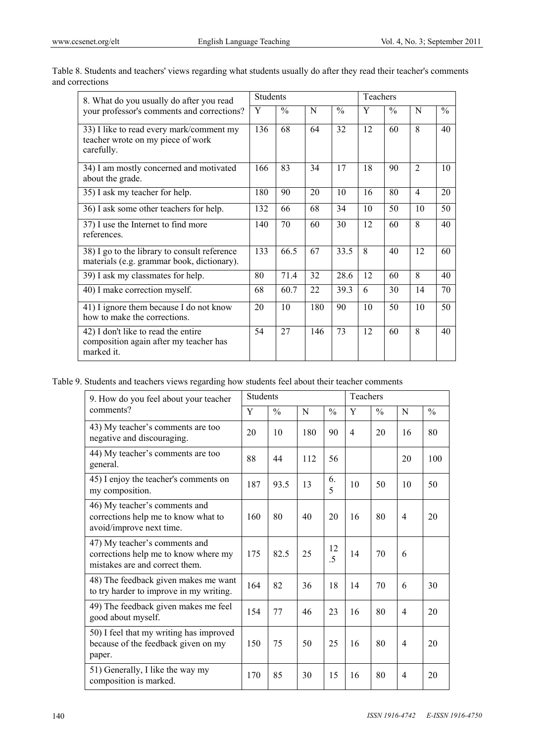| 8. What do you usually do after you read                                                    | <b>Students</b>  |               |     | Teachers      |    |               |                         |               |
|---------------------------------------------------------------------------------------------|------------------|---------------|-----|---------------|----|---------------|-------------------------|---------------|
| your professor's comments and corrections?                                                  | Y                | $\frac{0}{0}$ | N   | $\frac{0}{0}$ | Y  | $\frac{0}{0}$ | N                       | $\frac{0}{0}$ |
| 33) I like to read every mark/comment my<br>teacher wrote on my piece of work<br>carefully. | $\overline{136}$ | 68            | 64  | 32            | 12 | 60            | $\mathsf{\overline{R}}$ | 40            |
| 34) I am mostly concerned and motivated<br>about the grade.                                 | 166              | 83            | 34  | 17            | 18 | 90            | $\overline{2}$          | 10            |
| 35) I ask my teacher for help.                                                              | 180              | 90            | 20  | 10            | 16 | 80            | $\overline{4}$          | 20            |
| 36) I ask some other teachers for help.                                                     | 132              | 66            | 68  | 34            | 10 | 50            | 10                      | 50            |
| 37) I use the Internet to find more<br>references.                                          | 140              | 70            | 60  | 30            | 12 | 60            | 8                       | 40            |
| 38) I go to the library to consult reference<br>materials (e.g. grammar book, dictionary).  | 133              | 66.5          | 67  | 33.5          | 8  | 40            | 12                      | 60            |
| 39) I ask my classmates for help.                                                           | 80               | 71.4          | 32  | 28.6          | 12 | 60            | 8                       | 40            |
| 40) I make correction myself.                                                               | 68               | 60.7          | 22  | 39.3          | 6  | 30            | 14                      | 70            |
| 41) I ignore them because I do not know<br>how to make the corrections.                     | 20               | 10            | 180 | 90            | 10 | 50            | 10                      | 50            |
| 42) I don't like to read the entire<br>composition again after my teacher has<br>marked it. | 54               | 27            | 146 | 73            | 12 | 60            | 8                       | 40            |

Table 8. Students and teachers' views regarding what students usually do after they read their teacher's comments and corrections

Table 9. Students and teachers views regarding how students feel about their teacher comments

| 9. How do you feel about your teacher                                                                   |     | <b>Students</b> |     |               | <b>Teachers</b>          |               |                |               |  |
|---------------------------------------------------------------------------------------------------------|-----|-----------------|-----|---------------|--------------------------|---------------|----------------|---------------|--|
| comments?                                                                                               | Y   | $\frac{0}{0}$   | N   | $\frac{0}{0}$ | $\mathbf Y$              | $\frac{0}{0}$ | N              | $\frac{0}{0}$ |  |
| 43) My teacher's comments are too<br>negative and discouraging.                                         | 20  | 10              | 180 | 90            | $\overline{\mathcal{A}}$ | 20            | 16             | 80            |  |
| 44) My teacher's comments are too<br>general.                                                           | 88  | 44              | 112 | 56            |                          |               | 20             | 100           |  |
| 45) I enjoy the teacher's comments on<br>my composition.                                                | 187 | 93.5            | 13  | 6.<br>5       | 10                       | 50            | 10             | 50            |  |
| 46) My teacher's comments and<br>corrections help me to know what to<br>avoid/improve next time.        | 160 | 80              | 40  | 20            | 16                       | 80            | 4              | 20            |  |
| 47) My teacher's comments and<br>corrections help me to know where my<br>mistakes are and correct them. | 175 | 82.5            | 25  | 12<br>.5      | 14                       | 70            | 6              |               |  |
| 48) The feedback given makes me want<br>to try harder to improve in my writing.                         | 164 | 82              | 36  | 18            | 14                       | 70            | 6              | 30            |  |
| 49) The feedback given makes me feel<br>good about myself.                                              | 154 | 77              | 46  | 23            | 16                       | 80            | $\overline{4}$ | 20            |  |
| 50) I feel that my writing has improved<br>because of the feedback given on my<br>paper.                | 150 | 75              | 50  | 25            | 16                       | 80            | $\overline{4}$ | 20            |  |
| 51) Generally, I like the way my<br>composition is marked.                                              | 170 | 85              | 30  | 15            | 16                       | 80            | 4              | 20            |  |